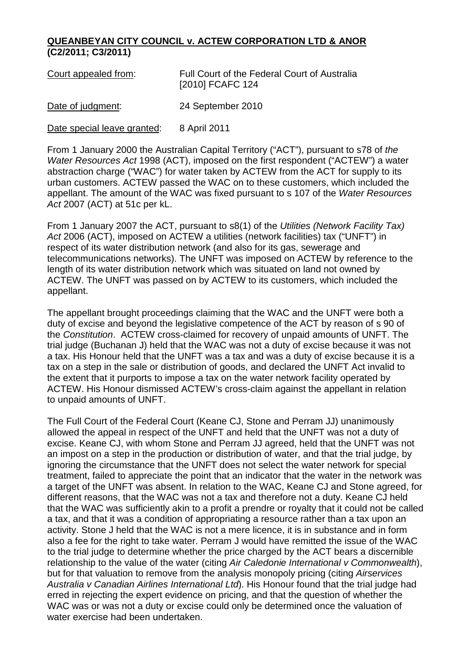## **QUEANBEYAN CITY COUNCIL v. ACTEW CORPORATION LTD & ANOR (C2/2011; C3/2011)**

| Court appealed from:        | Full Court of the Federal Court of Australia<br>[2010] FCAFC 124 |
|-----------------------------|------------------------------------------------------------------|
| Date of judgment:           | 24 September 2010                                                |
| Date special leave granted: | 8 April 2011                                                     |

From 1 January 2000 the Australian Capital Territory ("ACT"), pursuant to s78 of *the Water Resources Act* 1998 (ACT), imposed on the first respondent ("ACTEW") a water abstraction charge ("WAC") for water taken by ACTEW from the ACT for supply to its urban customers. ACTEW passed the WAC on to these customers, which included the appellant. The amount of the WAC was fixed pursuant to s 107 of the *Water Resources Act* 2007 (ACT) at 51c per kL.

From 1 January 2007 the ACT, pursuant to s8(1) of the *Utilities (Network Facility Tax) Act* 2006 (ACT), imposed on ACTEW a utilities (network facilities) tax ("UNFT") in respect of its water distribution network (and also for its gas, sewerage and telecommunications networks). The UNFT was imposed on ACTEW by reference to the length of its water distribution network which was situated on land not owned by ACTEW. The UNFT was passed on by ACTEW to its customers, which included the appellant.

The appellant brought proceedings claiming that the WAC and the UNFT were both a duty of excise and beyond the legislative competence of the ACT by reason of s 90 of the *Constitution*. ACTEW cross-claimed for recovery of unpaid amounts of UNFT. The trial judge (Buchanan J) held that the WAC was not a duty of excise because it was not a tax. His Honour held that the UNFT was a tax and was a duty of excise because it is a tax on a step in the sale or distribution of goods, and declared the UNFT Act invalid to the extent that it purports to impose a tax on the water network facility operated by ACTEW. His Honour dismissed ACTEW's cross-claim against the appellant in relation to unpaid amounts of UNFT.

The Full Court of the Federal Court (Keane CJ, Stone and Perram JJ) unanimously allowed the appeal in respect of the UNFT and held that the UNFT was not a duty of excise. Keane CJ, with whom Stone and Perram JJ agreed, held that the UNFT was not an impost on a step in the production or distribution of water, and that the trial judge, by ignoring the circumstance that the UNFT does not select the water network for special treatment, failed to appreciate the point that an indicator that the water in the network was a target of the UNFT was absent. In relation to the WAC, Keane CJ and Stone agreed, for different reasons, that the WAC was not a tax and therefore not a duty. Keane CJ held that the WAC was sufficiently akin to a profit a prendre or royalty that it could not be called a tax, and that it was a condition of appropriating a resource rather than a tax upon an activity. Stone J held that the WAC is not a mere licence, it is in substance and in form also a fee for the right to take water. Perram J would have remitted the issue of the WAC to the trial judge to determine whether the price charged by the ACT bears a discernible relationship to the value of the water (citing *Air Caledonie International v Commonwealth*), but for that valuation to remove from the analysis monopoly pricing (citing *Airservices Australia v Canadian Airlines International Ltd*). His Honour found that the trial judge had erred in rejecting the expert evidence on pricing, and that the question of whether the WAC was or was not a duty or excise could only be determined once the valuation of water exercise had been undertaken.